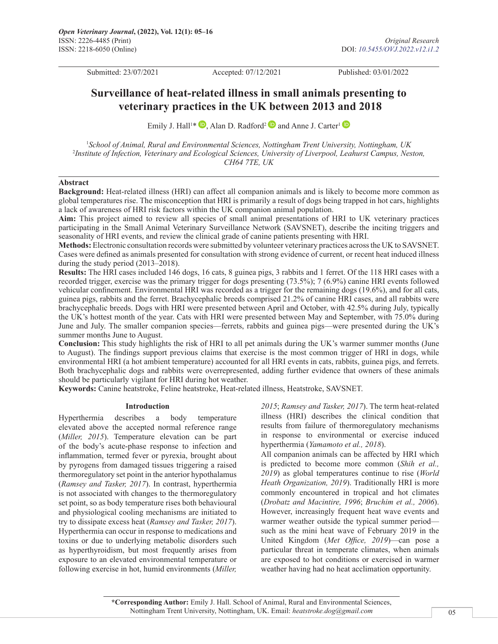Submitted: 23/07/2021 Accepted: 07/12/2021 Published: 03/01/2022

# **Surveillance of heat-related illness in small animals presenting to veterinary practices in the UK between 2013 and 2018**

Emily J. Hall<sup>[1](https://orcid.org/0000-0002-3523-1656)\*</sup>  $\mathbb{D}$ [,](https://orcid.org/0000-0002-3523-1656) Alan D. Radford<sup>2</sup>  $\mathbb{D}$  and Anne J. Carter<sup>1</sup>

1 *School of Animal, Rural and Environmental Sciences, Nottingham Trent University, Nottingham, UK* 2 *Institute of Infection, Veterinary and Ecological Sciences, University of Liverpool, Leahurst Campus, Neston, CH64 7TE, UK*

# **Abstract**

**Background:** Heat-related illness (HRI) can affect all companion animals and is likely to become more common as global temperatures rise. The misconception that HRI is primarily a result of dogs being trapped in hot cars, highlights a lack of awareness of HRI risk factors within the UK companion animal population.

**Aim:** This project aimed to review all species of small animal presentations of HRI to UK veterinary practices participating in the Small Animal Veterinary Surveillance Network (SAVSNET), describe the inciting triggers and seasonality of HRI events, and review the clinical grade of canine patients presenting with HRI.

**Methods:** Electronic consultation records were submitted by volunteer veterinary practices across the UK to SAVSNET. Cases were defined as animals presented for consultation with strong evidence of current, or recent heat induced illness during the study period (2013–2018).

**Results:** The HRI cases included 146 dogs, 16 cats, 8 guinea pigs, 3 rabbits and 1 ferret. Of the 118 HRI cases with a recorded trigger, exercise was the primary trigger for dogs presenting (73.5%); 7 (6.9%) canine HRI events followed vehicular confinement. Environmental HRI was recorded as a trigger for the remaining dogs (19.6%), and for all cats, guinea pigs, rabbits and the ferret. Brachycephalic breeds comprised 21.2% of canine HRI cases, and all rabbits were brachycephalic breeds. Dogs with HRI were presented between April and October, with 42.5% during July, typically the UK's hottest month of the year. Cats with HRI were presented between May and September, with 75.0% during June and July. The smaller companion species—ferrets, rabbits and guinea pigs—were presented during the UK's summer months June to August.

**Conclusion:** This study highlights the risk of HRI to all pet animals during the UK's warmer summer months (June to August). The findings support previous claims that exercise is the most common trigger of HRI in dogs, while environmental HRI (a hot ambient temperature) accounted for all HRI events in cats, rabbits, guinea pigs, and ferrets. Both brachycephalic dogs and rabbits were overrepresented, adding further evidence that owners of these animals should be particularly vigilant for HRI during hot weather.

**Keywords:** Canine heatstroke, Feline heatstroke, Heat-related illness, Heatstroke, SAVSNET.

#### **Introduction**

Hyperthermia describes a body temperature elevated above the accepted normal reference range (*Miller, 2015*). Temperature elevation can be part of the body's acute-phase response to infection and inflammation, termed fever or pyrexia, brought about by pyrogens from damaged tissues triggering a raised thermoregulatory set point in the anterior hypothalamus (*Ramsey and Tasker, 2017*). In contrast, hyperthermia is not associated with changes to the thermoregulatory set point, so as body temperature rises both behavioural and physiological cooling mechanisms are initiated to try to dissipate excess heat (*Ramsey and Tasker, 2017*). Hyperthermia can occur in response to medications and toxins or due to underlying metabolic disorders such as hyperthyroidism, but most frequently arises from exposure to an elevated environmental temperature or following exercise in hot, humid environments (*Miller,* 

*2015*; *Ramsey and Tasker, 2017*). The term heat-related illness (HRI) describes the clinical condition that results from failure of thermoregulatory mechanisms in response to environmental or exercise induced hyperthermia (*Yamamoto et al., 2018*).

All companion animals can be affected by HRI which is predicted to become more common (*Shih et al., 2019*) as global temperatures continue to rise (*World Heath Organization, 2019*). Traditionally HRI is more commonly encountered in tropical and hot climates (*Drobatz and Macintire, 1996*; *Bruchim et al., 2006*). However, increasingly frequent heat wave events and warmer weather outside the typical summer period such as the mini heat wave of February 2019 in the United Kingdom (*Met Office, 2019*)—can pose a particular threat in temperate climates, when animals are exposed to hot conditions or exercised in warmer weather having had no heat acclimation opportunity.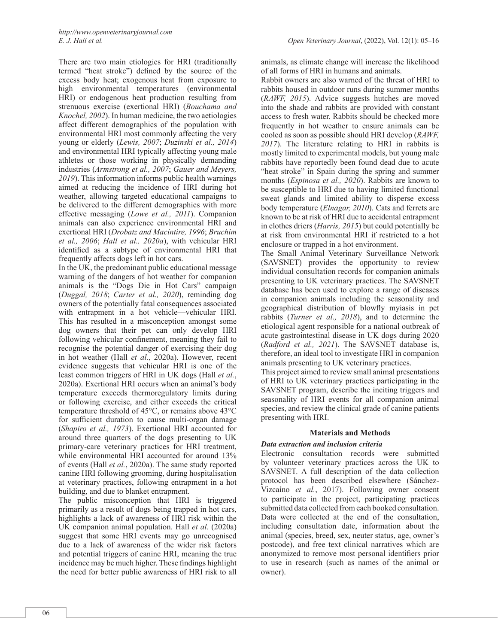There are two main etiologies for HRI (traditionally termed "heat stroke") defined by the source of the excess body heat; exogenous heat from exposure to high environmental temperatures (environmental HRI) or endogenous heat production resulting from strenuous exercise (exertional HRI) (*Bouchama and Knochel, 2002*). In human medicine, the two aetiologies affect different demographics of the population with environmental HRI most commonly affecting the very young or elderly (*Lewis, 2007*; *Duzinski et al., 2014*) and environmental HRI typically affecting young male athletes or those working in physically demanding industries (*Armstrong et al., 2007*; *Gauer and Meyers, 2019*). This information informs public health warnings aimed at reducing the incidence of HRI during hot weather, allowing targeted educational campaigns to be delivered to the different demographics with more effective messaging (*Lowe et al., 2011*). Companion animals can also experience environmental HRI and exertional HRI (*Drobatz and Macintire, 1996*; *Bruchim et al., 2006*; *Hall et al., 2020a*), with vehicular HRI identified as a subtype of environmental HRI that frequently affects dogs left in hot cars.

In the UK, the predominant public educational message warning of the dangers of hot weather for companion animals is the "Dogs Die in Hot Cars" campaign (*Duggal, 2018*; *Carter et al., 2020*), reminding dog owners of the potentially fatal consequences associated with entrapment in a hot vehicle—vehicular HRI. This has resulted in a misconception amongst some dog owners that their pet can only develop HRI following vehicular confinement, meaning they fail to recognise the potential danger of exercising their dog in hot weather (Hall *et al.*, 2020a). However, recent evidence suggests that vehicular HRI is one of the least common triggers of HRI in UK dogs (Hall *et al.*, 2020a). Exertional HRI occurs when an animal's body temperature exceeds thermoregulatory limits during or following exercise, and either exceeds the critical temperature threshold of 45°C, or remains above 43°C for sufficient duration to cause multi-organ damage (*Shapiro et al., 1973*). Exertional HRI accounted for around three quarters of the dogs presenting to UK primary-care veterinary practices for HRI treatment, while environmental HRI accounted for around 13% of events (Hall *et al.*, 2020a). The same study reported canine HRI following grooming, during hospitalisation at veterinary practices, following entrapment in a hot building, and due to blanket entrapment.

The public misconception that HRI is triggered primarily as a result of dogs being trapped in hot cars, highlights a lack of awareness of HRI risk within the UK companion animal population. Hall *et al.* (2020a) suggest that some HRI events may go unrecognised due to a lack of awareness of the wider risk factors and potential triggers of canine HRI, meaning the true incidence may be much higher. These findings highlight the need for better public awareness of HRI risk to all

animals, as climate change will increase the likelihood of all forms of HRI in humans and animals.

Rabbit owners are also warned of the threat of HRI to rabbits housed in outdoor runs during summer months (*RAWF, 2015*). Advice suggests hutches are moved into the shade and rabbits are provided with constant access to fresh water. Rabbits should be checked more frequently in hot weather to ensure animals can be cooled as soon as possible should HRI develop (*RAWF, 2017*). The literature relating to HRI in rabbits is mostly limited to experimental models, but young male rabbits have reportedly been found dead due to acute "heat stroke" in Spain during the spring and summer months (*Espinosa et al., 2020*). Rabbits are known to be susceptible to HRI due to having limited functional sweat glands and limited ability to disperse excess body temperature (*Elnagar, 2010*). Cats and ferrets are known to be at risk of HRI due to accidental entrapment in clothes driers (*Harris, 2015*) but could potentially be at risk from environmental HRI if restricted to a hot enclosure or trapped in a hot environment.

The Small Animal Veterinary Surveillance Network (SAVSNET) provides the opportunity to review individual consultation records for companion animals presenting to UK veterinary practices. The SAVSNET database has been used to explore a range of diseases in companion animals including the seasonality and geographical distribution of blowfly myiasis in pet rabbits (*Turner et al., 2018*), and to determine the etiological agent responsible for a national outbreak of acute gastrointestinal disease in UK dogs during 2020 (*Radford et al., 2021*). The SAVSNET database is, therefore, an ideal tool to investigate HRI in companion animals presenting to UK veterinary practices.

This project aimed to review small animal presentations of HRI to UK veterinary practices participating in the SAVSNET program, describe the inciting triggers and seasonality of HRI events for all companion animal species, and review the clinical grade of canine patients presenting with HRI.

### **Materials and Methods**

# *Data extraction and inclusion criteria*

Electronic consultation records were submitted by volunteer veterinary practices across the UK to SAVSNET. A full description of the data collection protocol has been described elsewhere (Sánchez-Vizcaíno *et al.*, 2017). Following owner consent to participate in the project, participating practices submitted data collected from each booked consultation. Data were collected at the end of the consultation. including consultation date, information about the animal (species, breed, sex, neuter status, age, owner's postcode), and free text clinical narratives which are anonymized to remove most personal identifiers prior to use in research (such as names of the animal or owner).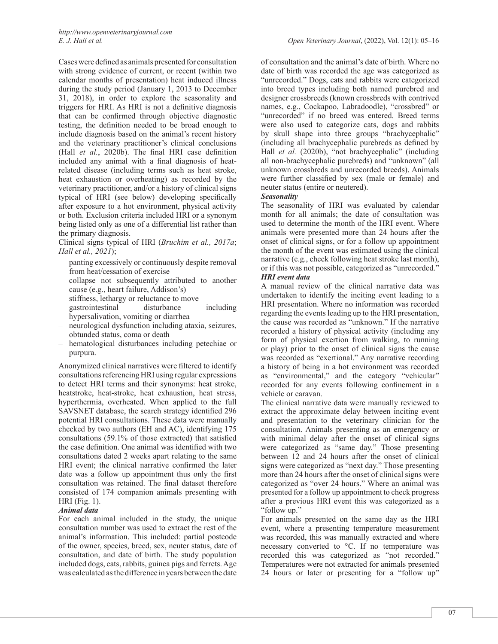Cases were defined as animals presented for consultation with strong evidence of current, or recent (within two calendar months of presentation) heat induced illness during the study period (January 1, 2013 to December 31, 2018), in order to explore the seasonality and triggers for HRI. As HRI is not a definitive diagnosis that can be confirmed through objective diagnostic testing, the definition needed to be broad enough to include diagnosis based on the animal's recent history and the veterinary practitioner's clinical conclusions (Hall *et al.*, 2020b). The final HRI case definition included any animal with a final diagnosis of heatrelated disease (including terms such as heat stroke, heat exhaustion or overheating) as recorded by the veterinary practitioner, and/or a history of clinical signs typical of HRI (see below) developing specifically after exposure to a hot environment, physical activity or both. Exclusion criteria included HRI or a synonym being listed only as one of a differential list rather than the primary diagnosis.

Clinical signs typical of HRI (*Bruchim et al., 2017a*; *Hall et al., 2021*);

- panting excessively or continuously despite removal from heat/cessation of exercise
- collapse not subsequently attributed to another cause (e.g., heart failure, Addison's)
- stiffness, lethargy or reluctance to move<br>gastrointestinal disturbance
- gastrointestinal disturbance including hypersalivation, vomiting or diarrhea
- neurological dysfunction including ataxia, seizures, obtunded status, coma or death
- hematological disturbances including petechiae or purpura.

Anonymized clinical narratives were filtered to identify consultations referencing HRI using regular expressions to detect HRI terms and their synonyms: heat stroke, heatstroke, heat-stroke, heat exhaustion, heat stress, hyperthermia, overheated. When applied to the full SAVSNET database, the search strategy identified 296 potential HRI consultations. These data were manually checked by two authors (EH and AC), identifying 175 consultations (59.1% of those extracted) that satisfied the case definition. One animal was identified with two consultations dated 2 weeks apart relating to the same HRI event; the clinical narrative confirmed the later date was a follow up appointment thus only the first consultation was retained. The final dataset therefore consisted of 174 companion animals presenting with HRI (Fig. 1).

# *Animal data*

For each animal included in the study, the unique consultation number was used to extract the rest of the animal's information. This included: partial postcode of the owner, species, breed, sex, neuter status, date of consultation, and date of birth. The study population included dogs, cats, rabbits, guinea pigs and ferrets. Age was calculated as the difference in years between the date

of consultation and the animal's date of birth. Where no date of birth was recorded the age was categorized as "unrecorded." Dogs, cats and rabbits were categorized into breed types including both named purebred and designer crossbreeds (known crossbreds with contrived names, e.g., Cockapoo, Labradoodle), "crossbred" or "unrecorded" if no breed was entered. Breed terms were also used to categorize cats, dogs and rabbits by skull shape into three groups "brachycephalic" (including all brachycephalic purebreds as defined by Hall *et al.* (2020b), "not brachycephalic" (including all non-brachycephalic purebreds) and "unknown" (all unknown crossbreds and unrecorded breeds). Animals were further classified by sex (male or female) and neuter status (entire or neutered).

# *Seasonality*

The seasonality of HRI was evaluated by calendar month for all animals; the date of consultation was used to determine the month of the HRI event. Where animals were presented more than 24 hours after the onset of clinical signs, or for a follow up appointment the month of the event was estimated using the clinical narrative (e.g., check following heat stroke last month), or if this was not possible, categorized as "unrecorded." *HRI event data*

A manual review of the clinical narrative data was undertaken to identify the inciting event leading to a HRI presentation. Where no information was recorded regarding the events leading up to the HRI presentation, the cause was recorded as "unknown." If the narrative recorded a history of physical activity (including any form of physical exertion from walking, to running or play) prior to the onset of clinical signs the cause was recorded as "exertional." Any narrative recording a history of being in a hot environment was recorded as "environmental," and the category "vehicular" recorded for any events following confinement in a vehicle or caravan.

The clinical narrative data were manually reviewed to extract the approximate delay between inciting event and presentation to the veterinary clinician for the consultation. Animals presenting as an emergency or with minimal delay after the onset of clinical signs were categorized as "same day." Those presenting between 12 and 24 hours after the onset of clinical signs were categorized as "next day." Those presenting more than 24 hours after the onset of clinical signs were categorized as "over 24 hours." Where an animal was presented for a follow up appointment to check progress after a previous HRI event this was categorized as a "follow up."

For animals presented on the same day as the HRI event, where a presenting temperature measurement was recorded, this was manually extracted and where necessary converted to °C. If no temperature was recorded this was categorized as "not recorded." Temperatures were not extracted for animals presented 24 hours or later or presenting for a "follow up"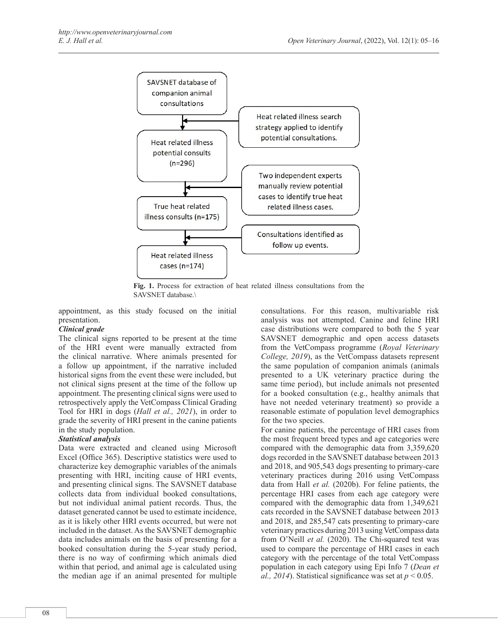

**Fig. 1.** Process for extraction of heat related illness consultations from the SAVSNET database.\

appointment, as this study focused on the initial presentation.

### *Clinical grade*

The clinical signs reported to be present at the time of the HRI event were manually extracted from the clinical narrative. Where animals presented for a follow up appointment, if the narrative included historical signs from the event these were included, but not clinical signs present at the time of the follow up appointment. The presenting clinical signs were used to retrospectively apply the VetCompass Clinical Grading Tool for HRI in dogs (*Hall et al., 2021*), in order to grade the severity of HRI present in the canine patients in the study population.

# *Statistical analysis*

Data were extracted and cleaned using Microsoft Excel (Office 365). Descriptive statistics were used to characterize key demographic variables of the animals presenting with HRI, inciting cause of HRI events, and presenting clinical signs. The SAVSNET database collects data from individual booked consultations, but not individual animal patient records. Thus, the dataset generated cannot be used to estimate incidence, as it is likely other HRI events occurred, but were not included in the dataset. As the SAVSNET demographic data includes animals on the basis of presenting for a booked consultation during the 5-year study period, there is no way of confirming which animals died within that period, and animal age is calculated using the median age if an animal presented for multiple

consultations. For this reason, multivariable risk analysis was not attempted. Canine and feline HRI case distributions were compared to both the 5 year SAVSNET demographic and open access datasets from the VetCompass programme (*Royal Veterinary College, 2019*), as the VetCompass datasets represent the same population of companion animals (animals presented to a UK veterinary practice during the same time period), but include animals not presented for a booked consultation (e.g., healthy animals that have not needed veterinary treatment) so provide a reasonable estimate of population level demographics for the two species.

For canine patients, the percentage of HRI cases from the most frequent breed types and age categories were compared with the demographic data from 3,359,620 dogs recorded in the SAVSNET database between 2013 and 2018, and 905,543 dogs presenting to primary-care veterinary practices during 2016 using VetCompass data from Hall *et al.* (2020b). For feline patients, the percentage HRI cases from each age category were compared with the demographic data from 1,349,621 cats recorded in the SAVSNET database between 2013 and 2018, and 285,547 cats presenting to primary-care veterinary practices during 2013 using VetCompass data from O'Neill *et al.* (2020). The Chi-squared test was used to compare the percentage of HRI cases in each category with the percentage of the total VetCompass population in each category using Epi Info 7 (*Dean et al., 2014*). Statistical significance was set at  $p < 0.05$ .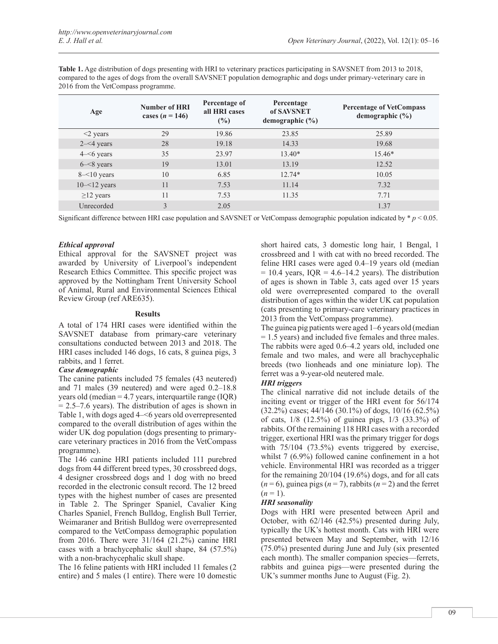**Table 1.** Age distribution of dogs presenting with HRI to veterinary practices participating in SAVSNET from 2013 to 2018, compared to the ages of dogs from the overall SAVSNET population demographic and dogs under primary-veterinary care in 2016 from the VetCompass programme.

| Age             | <b>Number of HRI</b><br>cases $(n = 146)$ | Percentage of<br>all HRI cases<br>(%) | Percentage<br>of SAVSNET<br>demographic $(\% )$ | <b>Percentage of VetCompass</b><br>demographic $(\% )$ |
|-----------------|-------------------------------------------|---------------------------------------|-------------------------------------------------|--------------------------------------------------------|
| $\leq$ years    | 29                                        | 19.86                                 | 23.85                                           | 25.89                                                  |
| $2 - 4$ years   | 28                                        | 19.18                                 | 14.33                                           | 19.68                                                  |
| $4 - 6$ years   | 35                                        | 23.97                                 | $13.40*$                                        | 15.46*                                                 |
| $6 - 8$ years   | 19                                        | 13.01                                 | 13.19                                           | 12.52                                                  |
| $8 - 10$ years  | 10                                        | 6.85                                  | $12.74*$                                        | 10.05                                                  |
| $10 - 12$ years | 11                                        | 7.53                                  | 11.14                                           | 7.32                                                   |
| $\geq$ 12 years | 11                                        | 7.53                                  | 11.35                                           | 7.71                                                   |
| Unrecorded      | 3                                         | 2.05                                  |                                                 | 1.37                                                   |

Significant difference between HRI case population and SAVSNET or VetCompass demographic population indicated by  $p \leq 0.05$ .

# *Ethical approval*

Ethical approval for the SAVSNET project was awarded by University of Liverpool's independent Research Ethics Committee. This specific project was approved by the Nottingham Trent University School of Animal, Rural and Environmental Sciences Ethical Review Group (ref ARE635).

#### **Results**

A total of 174 HRI cases were identified within the SAVSNET database from primary-care veterinary consultations conducted between 2013 and 2018. The HRI cases included 146 dogs, 16 cats, 8 guinea pigs, 3 rabbits, and 1 ferret.

### *Case demographic*

The canine patients included 75 females (43 neutered) and 71 males (39 neutered) and were aged 0.2–18.8 years old (median = 4.7 years, interquartile range (IQR)  $= 2.5 - 7.6$  years). The distribution of ages is shown in Table 1, with dogs aged 4–<6 years old overrepresented compared to the overall distribution of ages within the wider UK dog population (dogs presenting to primarycare veterinary practices in 2016 from the VetCompass programme).

The 146 canine HRI patients included 111 purebred dogs from 44 different breed types, 30 crossbreed dogs, 4 designer crossbreed dogs and 1 dog with no breed recorded in the electronic consult record. The 12 breed types with the highest number of cases are presented in Table 2. The Springer Spaniel, Cavalier King Charles Spaniel, French Bulldog, English Bull Terrier, Weimaraner and British Bulldog were overrepresented compared to the VetCompass demographic population from 2016. There were 31/164 (21.2%) canine HRI cases with a brachycephalic skull shape, 84 (57.5%) with a non-brachycephalic skull shape.

The 16 feline patients with HRI included 11 females (2 entire) and 5 males (1 entire). There were 10 domestic

short haired cats, 3 domestic long hair, 1 Bengal, 1 crossbreed and 1 with cat with no breed recorded. The feline HRI cases were aged 0.4–19 years old (median  $= 10.4$  years, IQR  $= 4.6 - 14.2$  years). The distribution of ages is shown in Table 3, cats aged over 15 years old were overrepresented compared to the overall distribution of ages within the wider UK cat population (cats presenting to primary-care veterinary practices in 2013 from the VetCompass programme).

The guinea pig patients were aged 1–6 years old (median = 1.5 years) and included five females and three males. The rabbits were aged 0.6–4.2 years old, included one female and two males, and were all brachycephalic breeds (two lionheads and one miniature lop). The ferret was a 9-year-old neutered male.

# *HRI triggers*

The clinical narrative did not include details of the inciting event or trigger of the HRI event for 56/174 (32.2%) cases; 44/146 (30.1%) of dogs, 10/16 (62.5%) of cats, 1/8 (12.5%) of guinea pigs, 1/3 (33.3%) of rabbits. Of the remaining 118 HRI cases with a recorded trigger, exertional HRI was the primary trigger for dogs with 75/104 (73.5%) events triggered by exercise, whilst 7 (6.9%) followed canine confinement in a hot vehicle. Environmental HRI was recorded as a trigger for the remaining 20/104 (19.6%) dogs, and for all cats  $(n=6)$ , guinea pigs  $(n=7)$ , rabbits  $(n=2)$  and the ferret  $(n = 1)$ .

# *HRI seasonality*

Dogs with HRI were presented between April and October, with 62/146 (42.5%) presented during July, typically the UK's hottest month. Cats with HRI were presented between May and September, with 12/16 (75.0%) presented during June and July (six presented each month). The smaller companion species—ferrets, rabbits and guinea pigs—were presented during the UK's summer months June to August (Fig. 2).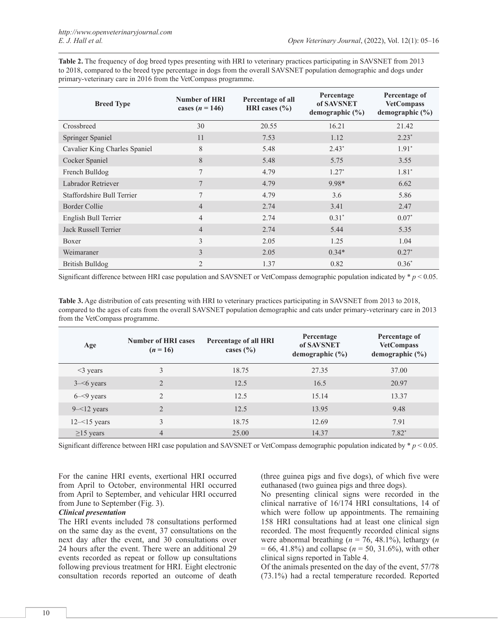**Table 2.** The frequency of dog breed types presenting with HRI to veterinary practices participating in SAVSNET from 2013 to 2018, compared to the breed type percentage in dogs from the overall SAVSNET population demographic and dogs under primary-veterinary care in 2016 from the VetCompass programme.

| <b>Breed Type</b>             | Number of HRI<br>cases ( <i>n</i> = 146) | Percentage of all<br>HRI cases $(\% )$ | Percentage<br>of SAVSNET<br>demographic $(\% )$ | Percentage of<br><b>VetCompass</b><br>demographic $(\% )$ |
|-------------------------------|------------------------------------------|----------------------------------------|-------------------------------------------------|-----------------------------------------------------------|
| Crossbreed                    | 30                                       | 20.55                                  | 16.21                                           | 21.42                                                     |
| Springer Spaniel              | 11                                       | 7.53                                   | 1.12                                            | $2.23*$                                                   |
| Cavalier King Charles Spaniel | 8                                        | 5.48                                   | $2.43*$                                         | $1.91*$                                                   |
| Cocker Spaniel                | 8                                        | 5.48                                   | 5.75                                            | 3.55                                                      |
| French Bulldog                | 7                                        | 4.79                                   | $1.27*$                                         | $1.81*$                                                   |
| Labrador Retriever            | $\tau$                                   | 4.79                                   | 9.98*                                           | 6.62                                                      |
| Staffordshire Bull Terrier    | $\tau$                                   | 4.79                                   | 3.6                                             | 5.86                                                      |
| Border Collie                 | $\overline{4}$                           | 2.74                                   | 3.41                                            | 2.47                                                      |
| English Bull Terrier          | $\overline{4}$                           | 2.74                                   | $0.31*$                                         | $0.07*$                                                   |
| Jack Russell Terrier          | $\overline{4}$                           | 2.74                                   | 5.44                                            | 5.35                                                      |
| Boxer                         | 3                                        | 2.05                                   | 1.25                                            | 1.04                                                      |
| Weimaraner                    | 3                                        | 2.05                                   | $0.34*$                                         | $0.27*$                                                   |
| <b>British Bulldog</b>        | $\overline{2}$                           | 1.37                                   | 0.82                                            | $0.36*$                                                   |

Significant difference between HRI case population and SAVSNET or VetCompass demographic population indicated by  $p < 0.05$ .

**Table 3.** Age distribution of cats presenting with HRI to veterinary practices participating in SAVSNET from 2013 to 2018, compared to the ages of cats from the overall SAVSNET population demographic and cats under primary-veterinary care in 2013 from the VetCompass programme.

| Age             | <b>Number of HRI cases</b><br>$(n=16)$ | Percentage of all HRI<br>cases $(\% )$ | Percentage<br>of SAVSNET<br>demographic $(\% )$ | Percentage of<br><b>VetCompass</b><br>demographic $(\% )$ |
|-----------------|----------------------------------------|----------------------------------------|-------------------------------------------------|-----------------------------------------------------------|
| $\leq$ years    | 3                                      | 18.75                                  | 27.35                                           | 37.00                                                     |
| $3 - 6$ years   | 2                                      | 12.5                                   | 16.5                                            | 20.97                                                     |
| $6 - 9$ years   | $\mathfrak{D}$                         | 12.5                                   | 15.14                                           | 13.37                                                     |
| $9 - 12$ years  | $\overline{2}$                         | 12.5                                   | 13.95                                           | 9.48                                                      |
| $12 - 15$ years | 3                                      | 18.75                                  | 12.69                                           | 7.91                                                      |
| $\geq$ 15 years | $\overline{4}$                         | 25.00                                  | 14.37                                           | $7.82*$                                                   |

Significant difference between HRI case population and SAVSNET or VetCompass demographic population indicated by  $p < 0.05$ .

For the canine HRI events, exertional HRI occurred from April to October, environmental HRI occurred from April to September, and vehicular HRI occurred from June to September (Fig. 3).

#### *Clinical presentation*

The HRI events included 78 consultations performed on the same day as the event, 37 consultations on the next day after the event, and 30 consultations over 24 hours after the event. There were an additional 29 events recorded as repeat or follow up consultations following previous treatment for HRI. Eight electronic consultation records reported an outcome of death

(three guinea pigs and five dogs), of which five were euthanased (two guinea pigs and three dogs).

No presenting clinical signs were recorded in the clinical narrative of 16/174 HRI consultations, 14 of which were follow up appointments. The remaining 158 HRI consultations had at least one clinical sign recorded. The most frequently recorded clinical signs were abnormal breathing (*n* = 76, 48.1%), lethargy (*n* = 66, 41.8%) and collapse (*n* = 50, 31.6%), with other clinical signs reported in Table 4.

Of the animals presented on the day of the event, 57/78 (73.1%) had a rectal temperature recorded. Reported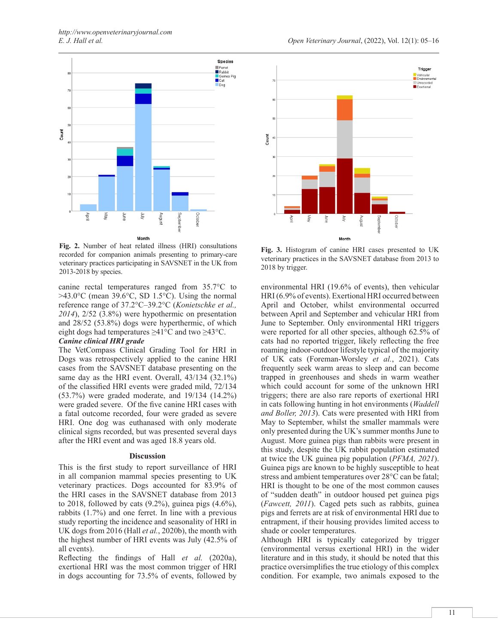

**Fig. 2.** Number of heat related illness (HRI) consultations recorded for companion animals presenting to primary-care veterinary practices participating in SAVSNET in the UK from 2013-2018 by species.

canine rectal temperatures ranged from 35.7°C to  $>43.0$ °C (mean 39.6°C, SD 1.5°C). Using the normal reference range of 37.2°C–39.2°C (*Konietschke et al., 2014*), 2/52 (3.8%) were hypothermic on presentation and 28/52 (53.8%) dogs were hyperthermic, of which eight dogs had temperatures ≥41°C and two ≥43°C.

#### *Canine clinical HRI grade*

The VetCompass Clinical Grading Tool for HRI in Dogs was retrospectively applied to the canine HRI cases from the SAVSNET database presenting on the same day as the HRI event. Overall, 43/134 (32.1%) of the classified HRI events were graded mild, 72/134 (53.7%) were graded moderate, and 19/134 (14.2%) were graded severe. Of the five canine HRI cases with a fatal outcome recorded, four were graded as severe HRI. One dog was euthanased with only moderate clinical signs recorded, but was presented several days after the HRI event and was aged 18.8 years old.

### **Discussion**

This is the first study to report surveillance of HRI in all companion mammal species presenting to UK veterinary practices. Dogs accounted for 83.9% of the HRI cases in the SAVSNET database from 2013 to 2018, followed by cats  $(9.2\%)$ , guinea pigs  $(4.6\%)$ , rabbits (1.7%) and one ferret. In line with a previous study reporting the incidence and seasonality of HRI in UK dogs from 2016 (Hall *et al.*, 2020b), the month with the highest number of HRI events was July (42.5% of all events).

Reflecting the findings of Hall *et al.* (2020a), exertional HRI was the most common trigger of HRI in dogs accounting for 73.5% of events, followed by



**Fig. 3.** Histogram of canine HRI cases presented to UK veterinary practices in the SAVSNET database from 2013 to 2018 by trigger.

environmental HRI (19.6% of events), then vehicular HRI (6.9% of events). Exertional HRI occurred between April and October, whilst environmental occurred between April and September and vehicular HRI from June to September. Only environmental HRI triggers were reported for all other species, although 62.5% of cats had no reported trigger, likely reflecting the free roaming indoor-outdoor lifestyle typical of the majority of UK cats (Foreman-Worsley *et al.*, 2021). Cats frequently seek warm areas to sleep and can become trapped in greenhouses and sheds in warm weather which could account for some of the unknown HRI triggers; there are also rare reports of exertional HRI in cats following hunting in hot environments (*Waddell and Boller, 2013*). Cats were presented with HRI from May to September, whilst the smaller mammals were only presented during the UK's summer months June to August. More guinea pigs than rabbits were present in this study, despite the UK rabbit population estimated at twice the UK guinea pig population (*PFMA, 2021*). Guinea pigs are known to be highly susceptible to heat stress and ambient temperatures over 28°C can be fatal; HRI is thought to be one of the most common causes of "sudden death" in outdoor housed pet guinea pigs (*Fawcett, 2011*). Caged pets such as rabbits, guinea pigs and ferrets are at risk of environmental HRI due to entrapment, if their housing provides limited access to shade or cooler temperatures.

Although HRI is typically categorized by trigger (environmental versus exertional HRI) in the wider literature and in this study, it should be noted that this practice oversimplifies the true etiology of this complex condition. For example, two animals exposed to the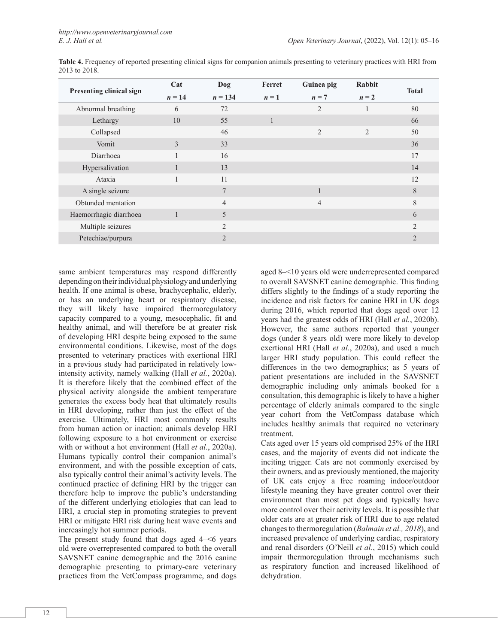| Presenting clinical sign | Cat          | Dog            | Ferret       | Guinea pig     | <b>Rabbit</b>  | <b>Total</b>   |
|--------------------------|--------------|----------------|--------------|----------------|----------------|----------------|
|                          | $n = 14$     | $n = 134$      | $n=1$        | $n = 7$        | $n = 2$        |                |
| Abnormal breathing       | 6            | 72             |              | $\overline{2}$ |                | 80             |
| Lethargy                 | 10           | 55             | $\mathbf{1}$ |                |                | 66             |
| Collapsed                |              | 46             |              | $\overline{2}$ | $\overline{2}$ | 50             |
| Vomit                    | 3            | 33             |              |                |                | 36             |
| Diarrhoea                |              | 16             |              |                |                | 17             |
| Hypersalivation          |              | 13             |              |                |                | 14             |
| Ataxia                   |              | 11             |              |                |                | 12             |
| A single seizure         |              | 7              |              | 1              |                | 8              |
| Obtunded mentation       |              | $\overline{4}$ |              | $\overline{4}$ |                | 8              |
| Haemorrhagic diarrhoea   | $\mathbf{1}$ | 5              |              |                |                | 6              |
| Multiple seizures        |              | $\overline{2}$ |              |                |                | $\mathfrak{D}$ |
| Petechiae/purpura        |              | $\overline{2}$ |              |                |                | $\overline{2}$ |

**Table 4.** Frequency of reported presenting clinical signs for companion animals presenting to veterinary practices with HRI from 2013 to 2018.

same ambient temperatures may respond differently depending on their individual physiology and underlying health. If one animal is obese, brachycephalic, elderly, or has an underlying heart or respiratory disease, they will likely have impaired thermoregulatory capacity compared to a young, mesocephalic, fit and healthy animal, and will therefore be at greater risk of developing HRI despite being exposed to the same environmental conditions. Likewise, most of the dogs presented to veterinary practices with exertional HRI in a previous study had participated in relatively lowintensity activity, namely walking (Hall *et al.*, 2020a). It is therefore likely that the combined effect of the physical activity alongside the ambient temperature generates the excess body heat that ultimately results in HRI developing, rather than just the effect of the exercise. Ultimately, HRI most commonly results from human action or inaction; animals develop HRI following exposure to a hot environment or exercise with or without a hot environment (Hall *et al.*, 2020a). Humans typically control their companion animal's environment, and with the possible exception of cats, also typically control their animal's activity levels. The continued practice of defining HRI by the trigger can therefore help to improve the public's understanding of the different underlying etiologies that can lead to HRI, a crucial step in promoting strategies to prevent HRI or mitigate HRI risk during heat wave events and increasingly hot summer periods.

The present study found that dogs aged 4–<6 years old were overrepresented compared to both the overall SAVSNET canine demographic and the 2016 canine demographic presenting to primary-care veterinary practices from the VetCompass programme, and dogs

aged 8–<10 years old were underrepresented compared to overall SAVSNET canine demographic. This finding differs slightly to the findings of a study reporting the incidence and risk factors for canine HRI in UK dogs during 2016, which reported that dogs aged over 12 years had the greatest odds of HRI (Hall *et al.*, 2020b). However, the same authors reported that younger dogs (under 8 years old) were more likely to develop exertional HRI (Hall *et al.*, 2020a), and used a much larger HRI study population. This could reflect the differences in the two demographics; as 5 years of patient presentations are included in the SAVSNET demographic including only animals booked for a consultation, this demographic is likely to have a higher percentage of elderly animals compared to the single year cohort from the VetCompass database which includes healthy animals that required no veterinary treatment.

Cats aged over 15 years old comprised 25% of the HRI cases, and the majority of events did not indicate the inciting trigger. Cats are not commonly exercised by their owners, and as previously mentioned, the majority of UK cats enjoy a free roaming indoor/outdoor lifestyle meaning they have greater control over their environment than most pet dogs and typically have more control over their activity levels. It is possible that older cats are at greater risk of HRI due to age related changes to thermoregulation (*Balmain et al., 2018*), and increased prevalence of underlying cardiac, respiratory and renal disorders (O'Neill *et al.*, 2015) which could impair thermoregulation through mechanisms such as respiratory function and increased likelihood of dehydration.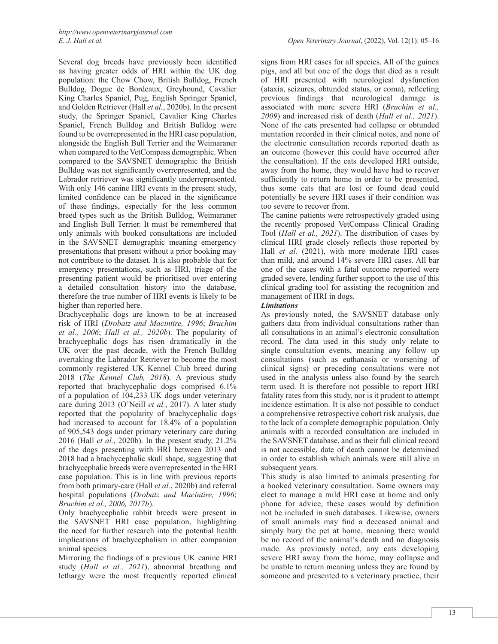Several dog breeds have previously been identified as having greater odds of HRI within the UK dog population: the Chow Chow, British Bulldog, French Bulldog, Dogue de Bordeaux, Greyhound, Cavalier King Charles Spaniel, Pug, English Springer Spaniel, and Golden Retriever (Hall *et al.*, 2020b). In the present study, the Springer Spaniel, Cavalier King Charles Spaniel, French Bulldog and British Bulldog were found to be overrepresented in the HRI case population, alongside the English Bull Terrier and the Weimaraner when compared to the VetCompass demographic. When compared to the SAVSNET demographic the British Bulldog was not significantly overrepresented, and the Labrador retriever was significantly underrepresented. With only 146 canine HRI events in the present study, limited confidence can be placed in the significance of these findings, especially for the less common breed types such as the British Bulldog, Weimaraner and English Bull Terrier. It must be remembered that only animals with booked consultations are included in the SAVSNET demographic meaning emergency presentations that present without a prior booking may not contribute to the dataset. It is also probable that for emergency presentations, such as HRI, triage of the presenting patient would be prioritised over entering a detailed consultation history into the database, therefore the true number of HRI events is likely to be higher than reported here.

Brachycephalic dogs are known to be at increased risk of HRI (*Drobatz and Macintire, 1996*; *Bruchim et al., 2006*; *Hall et al., 2020b*). The popularity of brachycephalic dogs has risen dramatically in the UK over the past decade, with the French Bulldog overtaking the Labrador Retriever to become the most commonly registered UK Kennel Club breed during 2018 (*The Kennel Club, 2018*). A previous study reported that brachycephalic dogs comprised 6.1% of a population of 104,233 UK dogs under veterinary care during 2013 (O'Neill *et al.*, 2017). A later study reported that the popularity of brachycephalic dogs had increased to account for 18.4% of a population of 905,543 dogs under primary veterinary care during 2016 (Hall *et al.*, 2020b). In the present study, 21.2% of the dogs presenting with HRI between 2013 and 2018 had a brachycephalic skull shape, suggesting that brachycephalic breeds were overrepresented in the HRI case population. This is in line with previous reports from both primary-care (Hall *et al.*, 2020b) and referral hospital populations (*Drobatz and Macintire, 1996*; *Bruchim et al., 2006, 2017b*).

Only brachycephalic rabbit breeds were present in the SAVSNET HRI case population, highlighting the need for further research into the potential health implications of brachycephalism in other companion animal species.

Mirroring the findings of a previous UK canine HRI study (*Hall et al., 2021*), abnormal breathing and lethargy were the most frequently reported clinical

signs from HRI cases for all species. All of the guinea pigs, and all but one of the dogs that died as a result of HRI presented with neurological dysfunction (ataxia, seizures, obtunded status, or coma), reflecting previous findings that neurological damage is associated with more severe HRI (*Bruchim et al., 2009*) and increased risk of death (*Hall et al., 2021*). None of the cats presented had collapse or obtunded mentation recorded in their clinical notes, and none of the electronic consultation records reported death as an outcome (however this could have occurred after the consultation). If the cats developed HRI outside, away from the home, they would have had to recover sufficiently to return home in order to be presented, thus some cats that are lost or found dead could potentially be severe HRI cases if their condition was too severe to recover from.

The canine patients were retrospectively graded using the recently proposed VetCompass Clinical Grading Tool (*Hall et al., 2021*). The distribution of cases by clinical HRI grade closely reflects those reported by Hall *et al.* (2021), with more moderate HRI cases than mild, and around 14% severe HRI cases. All bar one of the cases with a fatal outcome reported were graded severe, lending further support to the use of this clinical grading tool for assisting the recognition and management of HRI in dogs.

# *Limitations*

As previously noted, the SAVSNET database only gathers data from individual consultations rather than all consultations in an animal's electronic consultation record. The data used in this study only relate to single consultation events, meaning any follow up consultations (such as euthanasia or worsening of clinical signs) or preceding consultations were not used in the analysis unless also found by the search term used. It is therefore not possible to report HRI fatality rates from this study, nor is it prudent to attempt incidence estimation. It is also not possible to conduct a comprehensive retrospective cohort risk analysis, due to the lack of a complete demographic population. Only animals with a recorded consultation are included in the SAVSNET database, and as their full clinical record is not accessible, date of death cannot be determined in order to establish which animals were still alive in subsequent years.

This study is also limited to animals presenting for a booked veterinary consultation. Some owners may elect to manage a mild HRI case at home and only phone for advice, these cases would by definition not be included in such databases. Likewise, owners of small animals may find a deceased animal and simply bury the pet at home, meaning there would be no record of the animal's death and no diagnosis made. As previously noted, any cats developing severe HRI away from the home, may collapse and be unable to return meaning unless they are found by someone and presented to a veterinary practice, their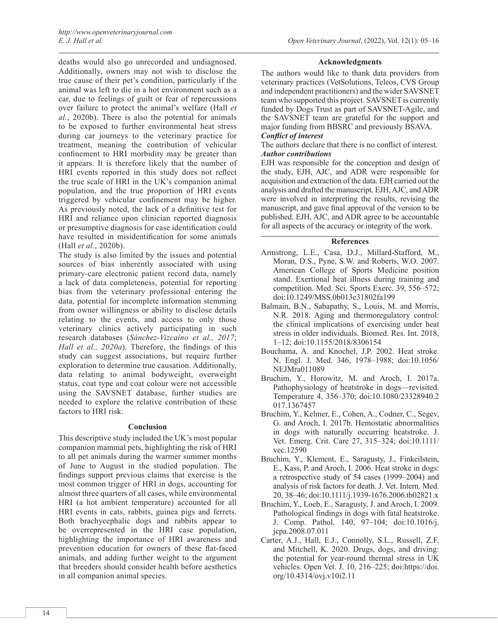deaths would also go unrecorded and undiagnosed. Additionally, owners may not wish to disclose the true cause of their pet's condition, particularly if the animal was left to die in a hot environment such as a car, due to feelings of guilt or fear of repercussions over failure to protect the animal's welfare (Hall *et al.*, 2020b). There is also the potential for animals to be exposed to further environmental heat stress during car journeys to the veterinary practice for treatment, meaning the contribution of vehicular confinement to HRI morbidity may be greater than it appears. It is therefore likely that the number of HRI events reported in this study does not reflect the true scale of HRI in the UK's companion animal population, and the true proportion of HRI events triggered by vehicular confinement may be higher. As previously noted, the lack of a definitive test for HRI and reliance upon clinician reported diagnosis or presumptive diagnosis for case identification could have resulted in misidentification for some animals (Hall *et al.*, 2020b).

The study is also limited by the issues and potential sources of bias inherently associated with using primary-care electronic patient record data, namely a lack of data completeness, potential for reporting bias from the veterinary professional entering the data, potential for incomplete information stemming from owner willingness or ability to disclose details relating to the events, and access to only those veterinary clinics actively participating in such research databases (*Sánchez-Vizcaíno et al., 2017*; *Hall et al., 2020a*). Therefore, the findings of this study can suggest associations, but require further exploration to determine true causation. Additionally, data relating to animal bodyweight, overweight status, coat type and coat colour were not accessible using the SAVSNET database, further studies are needed to explore the relative contribution of these factors to HRI risk.

#### **Conclusion**

This descriptive study included the UK's most popular companion mammal pets, highlighting the risk of HRI to all pet animals during the warmer summer months of June to August in the studied population. The findings support previous claims that exercise is the most common trigger of HRI in dogs, accounting for almost three quarters of all cases, while environmental HRI (a hot ambient temperature) accounted for all HRI events in cats, rabbits, guinea pigs and ferrets. Both brachycephalic dogs and rabbits appear to be overrepresented in the HRI case population, highlighting the importance of HRI awareness and prevention education for owners of these flat-faced animals, and adding further weight to the argument that breeders should consider health before aesthetics in all companion animal species.

#### **Acknowledgments**

The authors would like to thank data providers from veterinary practices (VetSolutions, Teleos, CVS Group and independent practitioners) and the wider SAVSNET team who supported this project. SAVSNET is currently funded by Dogs Trust as part of SAVSNET-Agile, and the SAVSNET team are grateful for the support and major funding from BBSRC and previously BSAVA. *Conflict of interest*

# The authors declare that there is no conflict of interest. *Author contributions*

EJH was responsible for the conception and design of the study, EJH, AJC, and ADR were responsible for

acquisition and extraction of the data. EJH carried out the analysis and drafted the manuscript. EJH, AJC, and ADR were involved in interpreting the results, revising the manuscript, and gave final approval of the version to be published. EJH, AJC, and ADR agree to be accountable for all aspects of the accuracy or integrity of the work.

### **References**

- Armstrong, L.E., Casa, D.J., Millard-Stafford, M., Moran, D.S., Pyne, S.W. and Roberts, W.O. 2007. American College of Sports Medicine position stand. Exertional heat illness during training and competition. Med. Sci. Sports Exerc. 39, 556–572; doi:10.1249/MSS.0b013e31802fa199
- Balmain, B.N., Sabapathy, S., Louis, M. and Morris, N.R. 2018. Aging and thermoregulatory control: the clinical implications of exercising under heat stress in older individuals. Biomed. Res. Int. 2018, 1–12; doi:10.1155/2018/8306154
- Bouchama, A. and Knochel, J.P. 2002. Heat stroke. N. Engl. J. Med. 346, 1978–1988; doi:10.1056/ NEJMra011089
- Bruchim, Y., Horowitz, M. and Aroch, I. 2017a. Pathophysiology of heatstroke in dogs—revisited. Temperature 4, 356–370; doi:10.1080/23328940.2 017.1367457
- Bruchim, Y., Kelmer, E., Cohen, A., Codner, C., Segev, G. and Aroch, I. 2017b. Hemostatic abnormalities in dogs with naturally occurring heatstroke. J. Vet. Emerg. Crit. Care 27, 315–324; doi:10.1111/ vec.12590
- Bruchim, Y., Klement, E., Saragusty, J., Finkeilstein, E., Kass, P. and Aroch, I. 2006. Heat stroke in dogs: a retrospective study of 54 cases (1999–2004) and analysis of risk factors for death. J. Vet. Intern. Med. 20, 38–46; doi:10.1111/j.1939-1676.2006.tb02821.x
- Bruchim, Y., Loeb, E., Saragusty, J. and Aroch, I. 2009. Pathological findings in dogs with fatal heatstroke. J. Comp. Pathol. 140, 97–104; doi:10.1016/j. jcpa.2008.07.011
- Carter, A.J., Hall, E.J., Connolly, S.L., Russell, Z.F. and Mitchell, K. 2020. Drugs, dogs, and driving: the potential for year-round thermal stress in UK vehicles. Open Vet. J. 10, 216–225; doi:https://doi. org/10.4314/ovj.v10i2.11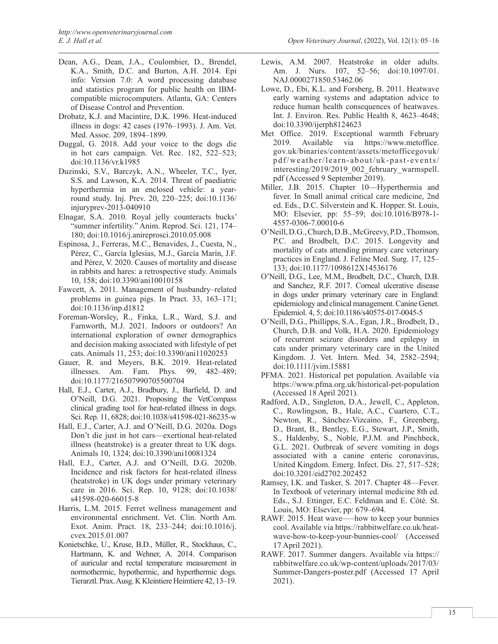- Dean, A.G., Dean, J.A., Coulombier, D., Brendel, K.A., Smith, D.C. and Burton, A.H. 2014. Epi info: Version 7.0: A word processing database and statistics program for public health on IBMcompatible microcomputers. Atlanta, GA: Centers of Disease Control and Prevention.
- Drobatz, K.J. and Macintire, D.K. 1996. Heat-induced illness in dogs: 42 cases (1976–1993). J. Am. Vet. Med. Assoc. 209, 1894–1899.
- Duggal, G. 2018. Add your voice to the dogs die in hot cars campaign. Vet. Rec. 182, 522–523; doi:10.1136/vr.k1985
- Duzinski, S.V., Barczyk, A.N., Wheeler, T.C., Iyer, S.S. and Lawson, K.A. 2014. Threat of paediatric hyperthermia in an enclosed vehicle: a yearround study. Inj. Prev. 20, 220–225; doi:10.1136/ injuryprev-2013-040910
- Elnagar, S.A. 2010. Royal jelly counteracts bucks' "summer infertility." Anim. Reprod. Sci. 121, 174– 180; doi:10.1016/j.anireprosci.2010.05.008
- Espinosa, J., Ferreras, M.C., Benavides, J., Cuesta, N., Pérez, C., García Iglesias, M.J., García Marín, J.F. and Pérez, V. 2020. Causes of mortality and disease in rabbits and hares: a retrospective study. Animals 10, 158; doi:10.3390/ani10010158
- Fawcett, A. 2011. Management of husbandry–related problems in guinea pigs. In Pract. 33, 163–171; doi:10.1136/inp.d1812
- Foreman-Worsley, R., Finka, L.R., Ward, S.J. and Farnworth, M.J. 2021. Indoors or outdoors? An international exploration of owner demographics and decision making associated with lifestyle of pet cats. Animals 11, 253; doi:10.3390/ani11020253
- Gauer, R. and Meyers, B.K. 2019. Heat-related illnesses. Am. Fam. Phys. 99, 482–489; doi:10.1177/216507990705500704
- Hall, E.J., Carter, A.J., Bradbury, J., Barfield, D. and O'Neill, D.G. 2021. Proposing the VetCompass clinical grading tool for heat-related illness in dogs. Sci. Rep. 11, 6828; doi:10.1038/s41598-021-86235-w
- Hall, E.J., Carter, A.J. and O'Neill, D.G. 2020a. Dogs Don't die just in hot cars—exertional heat-related illness (heatstroke) is a greater threat to UK dogs. Animals 10, 1324; doi:10.3390/ani10081324
- Hall, E.J., Carter, A.J. and O'Neill, D.G. 2020b. Incidence and risk factors for heat-related illness (heatstroke) in UK dogs under primary veterinary care in 2016. Sci. Rep. 10, 9128; doi:10.1038/ s41598-020-66015-8
- Harris, L.M. 2015. Ferret wellness management and environmental enrichment. Vet. Clin. North Am. Exot. Anim. Pract. 18, 233–244; doi:10.1016/j. cvex.2015.01.007
- Konietschke, U., Kruse, B.D., Müller, R., Stockhaus, C., Hartmann, K. and Wehner, A. 2014. Comparison of auricular and rectal temperature measurement in normothermic, hypothermic, and hyperthermic dogs. Tierarztl. Prax. Ausg. K Kleintiere Heimtiere 42, 13–19.
- Lewis, A.M. 2007. Heatstroke in older adults. Am. J. Nurs. 107, 52–56; doi:10.1097/01. NAJ.0000271850.53462.06
- Lowe, D., Ebi, K.L. and Forsberg, B. 2011. Heatwave early warning systems and adaptation advice to reduce human health consequences of heatwaves. Int. J. Environ. Res. Public Health 8, 4623–4648; doi:10.3390/ijerph8124623
- Met Office. 2019. Exceptional warmth February 2019. Available via https://www.metoffice. gov.uk/binaries/content/assets/metofficegovuk/ pdf/weather/learn-about/uk-past-events/ interesting/2019/2019\_002\_february\_warmspell. pdf (Accessed 9 September 2019).
- Miller, J.B. 2015. Chapter 10—Hyperthermia and fever. In Small animal critical care medicine, 2nd ed. Eds., D.C. Silverstein and K. Hopper. St. Louis, MO: Elsevier, pp: 55–59; doi:10.1016/B978-1- 4557-0306-7.00010-6
- O'Neill, D.G., Church, D.B., McGreevy, P.D., Thomson, P.C. and Brodbelt, D.C. 2015. Longevity and mortality of cats attending primary care veterinary practices in England. J. Feline Med. Surg. 17, 125– 133; doi:10.1177/1098612X14536176
- O'Neill, D.G., Lee, M.M., Brodbelt, D.C., Church, D.B. and Sanchez, R.F. 2017. Corneal ulcerative disease in dogs under primary veterinary care in England: epidemiology and clinical management. Canine Genet. Epidemiol. 4, 5; doi:10.1186/s40575-017-0045-5
- O'Neill, D.G., Phillipps, S.A., Egan, J.R., Brodbelt, D., Church, D.B. and Volk, H.A. 2020. Epidemiology of recurrent seizure disorders and epilepsy in cats under primary veterinary care in the United Kingdom. J. Vet. Intern. Med. 34, 2582–2594; doi:10.1111/jvim.15881
- PFMA. 2021. Historical pet population. Available via https://www.pfma.org.uk/historical-pet-population (Accessed 18 April 2021).
- Radford, A.D., Singleton, D.A., Jewell, C., Appleton, C., Rowlingson, B., Hale, A.C., Cuartero, C.T., Newton, R., Sánchez-Vizcaíno, F., Greenberg, D., Brant, B., Bentley, E.G., Stewart, J.P., Smith, S., Haldenby, S., Noble, P.J.M. and Pinchbeck, G.L. 2021. Outbreak of severe vomiting in dogs associated with a canine enteric coronavirus, United Kingdom. Emerg. Infect. Dis. 27, 517–528; doi:10.3201/eid2702.202452
- Ramsey, I.K. and Tasker, S. 2017. Chapter 48—Fever. In Textbook of veterinary internal medicine 8th ed. Eds., S.J. Ettinger, E.C. Feldman and E. Côté. St. Louis, MO: Elsevier, pp: 679–694.
- RAWF. 2015. Heat wave—how to keep your bunnies cool. Available via https://rabbitwelfare.co.uk/heatwave-how-to-keep-your-bunnies-cool/ (Accessed 17 April 2021).
- RAWF. 2017. Summer dangers. Available via https:// rabbitwelfare.co.uk/wp-content/uploads/2017/03/ Summer-Dangers-poster.pdf (Accessed 17 April 2021).